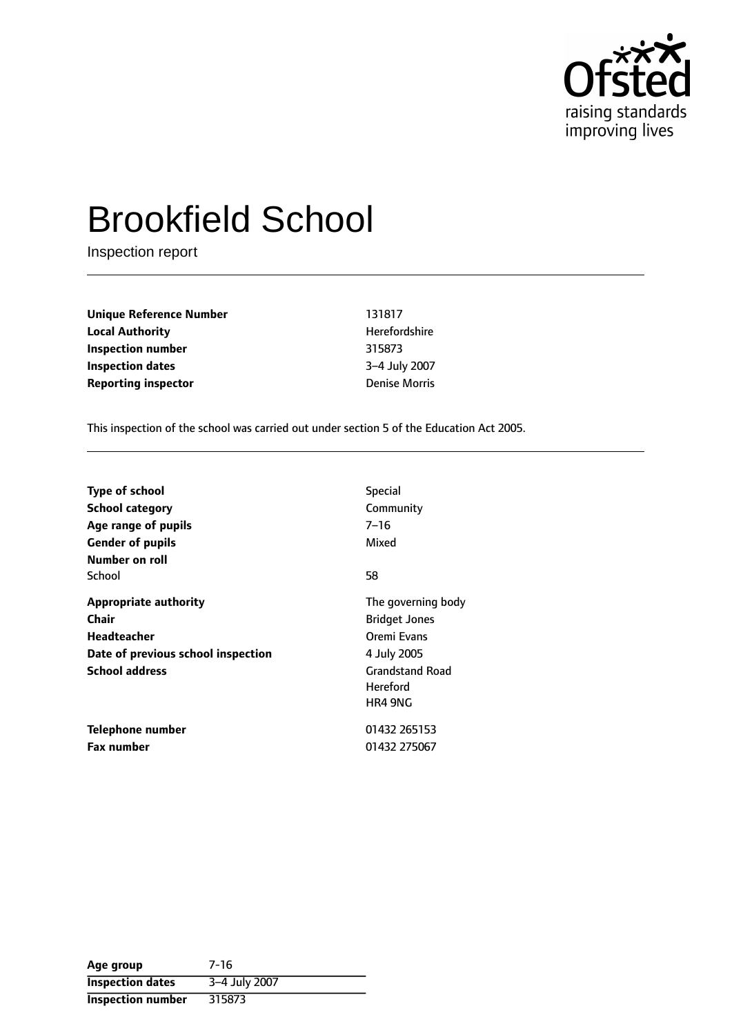

# Brookfield School

Inspection report

| Unique Reference Number    | 131817               |
|----------------------------|----------------------|
| <b>Local Authority</b>     | Herefordshire        |
| Inspection number          | 315873               |
| <b>Inspection dates</b>    | 3-4 July 2007        |
| <b>Reporting inspector</b> | <b>Denise Morris</b> |

This inspection of the school was carried out under section 5 of the Education Act 2005.

| <b>Type of school</b><br>School category<br>Age range of pupils<br><b>Gender of pupils</b><br>Number on roll        | <b>Special</b><br>Community<br>7–16<br>Mixed                                                                                     |
|---------------------------------------------------------------------------------------------------------------------|----------------------------------------------------------------------------------------------------------------------------------|
| School                                                                                                              | 58                                                                                                                               |
| <b>Appropriate authority</b><br>Chair<br>Headteacher<br>Date of previous school inspection<br><b>School address</b> | The governing body<br><b>Bridget Jones</b><br>Oremi Evans<br>4 July 2005<br><b>Grandstand Road</b><br><b>Hereford</b><br>HR4 9NG |
| Telephone number<br><b>Fax number</b>                                                                               | 01432 265153<br>01432 275067                                                                                                     |

| Age group                | 7-16          |
|--------------------------|---------------|
| <b>Inspection dates</b>  | 3-4 July 2007 |
| <b>Inspection number</b> | 315873        |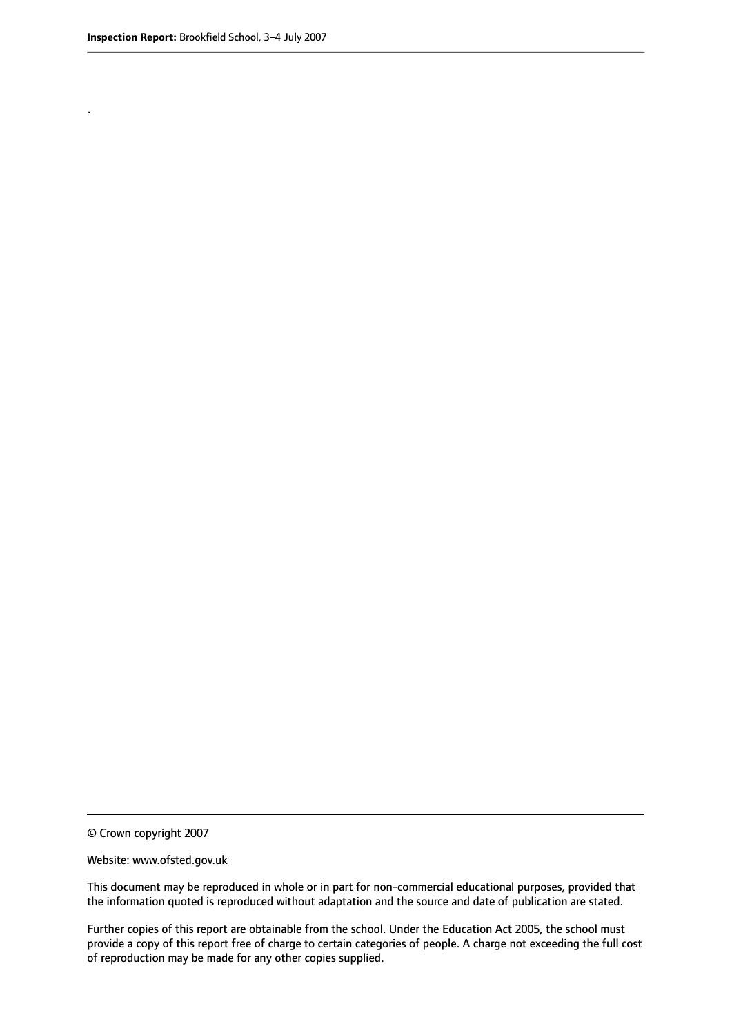.

© Crown copyright 2007

#### Website: www.ofsted.gov.uk

This document may be reproduced in whole or in part for non-commercial educational purposes, provided that the information quoted is reproduced without adaptation and the source and date of publication are stated.

Further copies of this report are obtainable from the school. Under the Education Act 2005, the school must provide a copy of this report free of charge to certain categories of people. A charge not exceeding the full cost of reproduction may be made for any other copies supplied.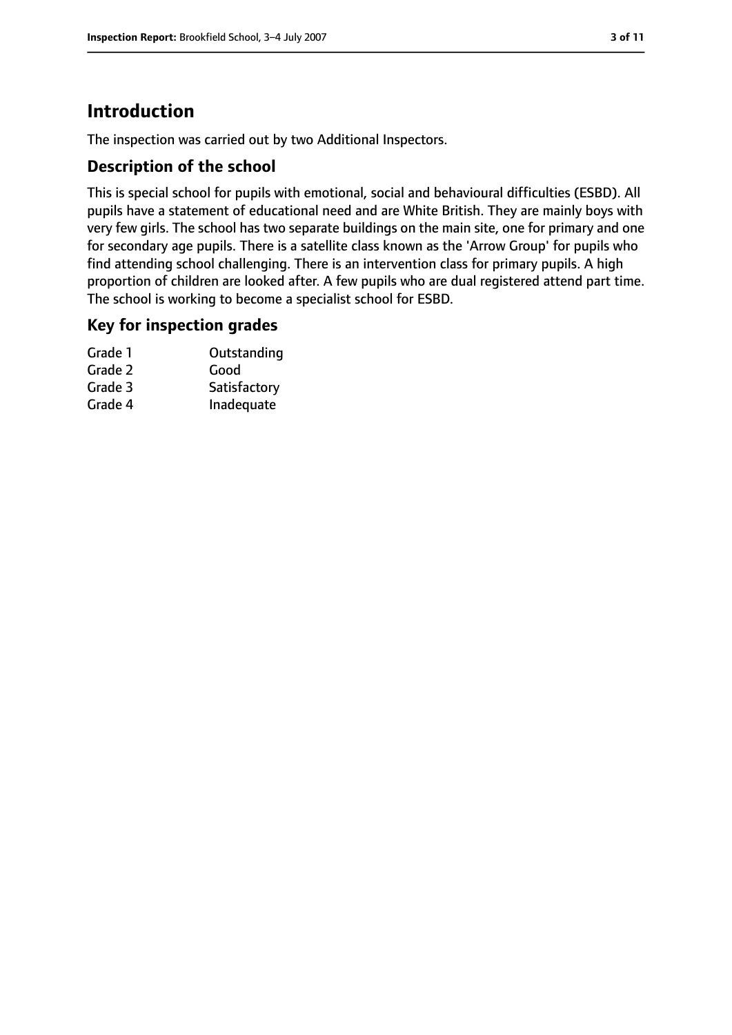# **Introduction**

The inspection was carried out by two Additional Inspectors.

## **Description of the school**

This is special school for pupils with emotional, social and behavioural difficulties (ESBD). All pupils have a statement of educational need and are White British. They are mainly boys with very few girls. The school has two separate buildings on the main site, one for primary and one for secondary age pupils. There is a satellite class known as the 'Arrow Group' for pupils who find attending school challenging. There is an intervention class for primary pupils. A high proportion of children are looked after. A few pupils who are dual registered attend part time. The school is working to become a specialist school for ESBD.

## **Key for inspection grades**

| Grade 1 | Outstanding  |
|---------|--------------|
| Grade 2 | Good         |
| Grade 3 | Satisfactory |
| Grade 4 | Inadequate   |
|         |              |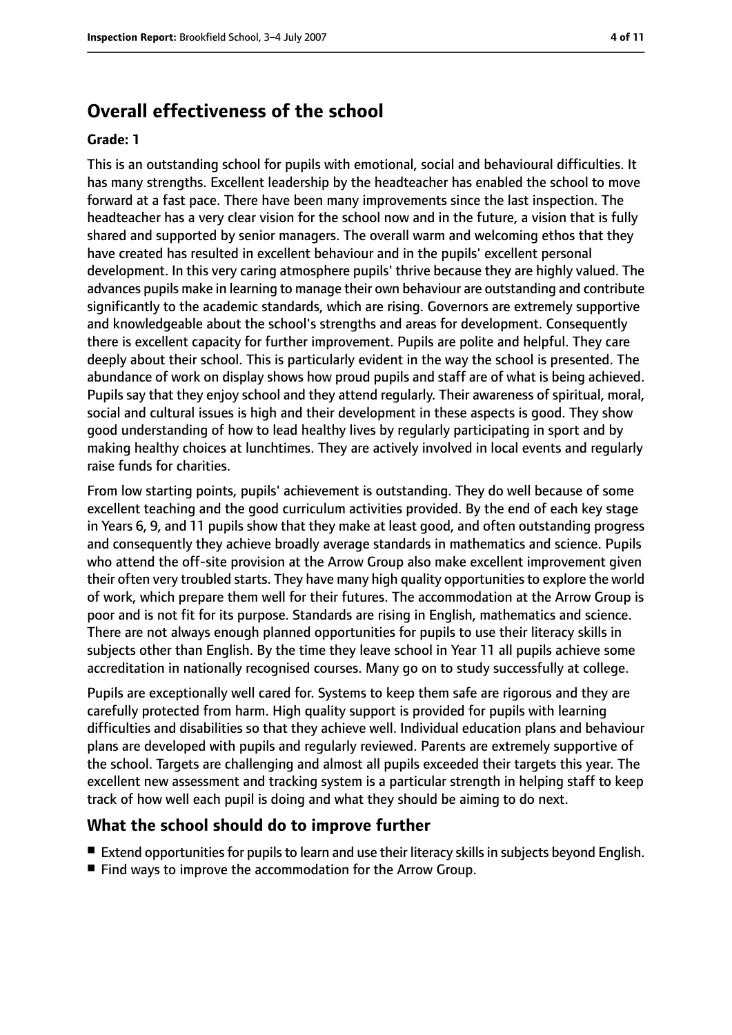# **Overall effectiveness of the school**

#### **Grade: 1**

This is an outstanding school for pupils with emotional, social and behavioural difficulties. It has many strengths. Excellent leadership by the headteacher has enabled the school to move forward at a fast pace. There have been many improvements since the last inspection. The headteacher has a very clear vision for the school now and in the future, a vision that is fully shared and supported by senior managers. The overall warm and welcoming ethos that they have created has resulted in excellent behaviour and in the pupils' excellent personal development. In this very caring atmosphere pupils' thrive because they are highly valued. The advances pupils make in learning to manage their own behaviour are outstanding and contribute significantly to the academic standards, which are rising. Governors are extremely supportive and knowledgeable about the school's strengths and areas for development. Consequently there is excellent capacity for further improvement. Pupils are polite and helpful. They care deeply about their school. This is particularly evident in the way the school is presented. The abundance of work on display shows how proud pupils and staff are of what is being achieved. Pupils say that they enjoy school and they attend regularly. Their awareness of spiritual, moral, social and cultural issues is high and their development in these aspects is good. They show good understanding of how to lead healthy lives by regularly participating in sport and by making healthy choices at lunchtimes. They are actively involved in local events and regularly raise funds for charities.

From low starting points, pupils' achievement is outstanding. They do well because of some excellent teaching and the good curriculum activities provided. By the end of each key stage in Years 6, 9, and 11 pupils show that they make at least good, and often outstanding progress and consequently they achieve broadly average standards in mathematics and science. Pupils who attend the off-site provision at the Arrow Group also make excellent improvement given their often very troubled starts. They have many high quality opportunitiesto explore the world of work, which prepare them well for their futures. The accommodation at the Arrow Group is poor and is not fit for its purpose. Standards are rising in English, mathematics and science. There are not always enough planned opportunities for pupils to use their literacy skills in subjects other than English. By the time they leave school in Year 11 all pupils achieve some accreditation in nationally recognised courses. Many go on to study successfully at college.

Pupils are exceptionally well cared for. Systems to keep them safe are rigorous and they are carefully protected from harm. High quality support is provided for pupils with learning difficulties and disabilities so that they achieve well. Individual education plans and behaviour plans are developed with pupils and regularly reviewed. Parents are extremely supportive of the school. Targets are challenging and almost all pupils exceeded their targets this year. The excellent new assessment and tracking system is a particular strength in helping staff to keep track of how well each pupil is doing and what they should be aiming to do next.

## **What the school should do to improve further**

- Extend opportunities for pupils to learn and use their literacy skills in subjects beyond English.
- Find ways to improve the accommodation for the Arrow Group.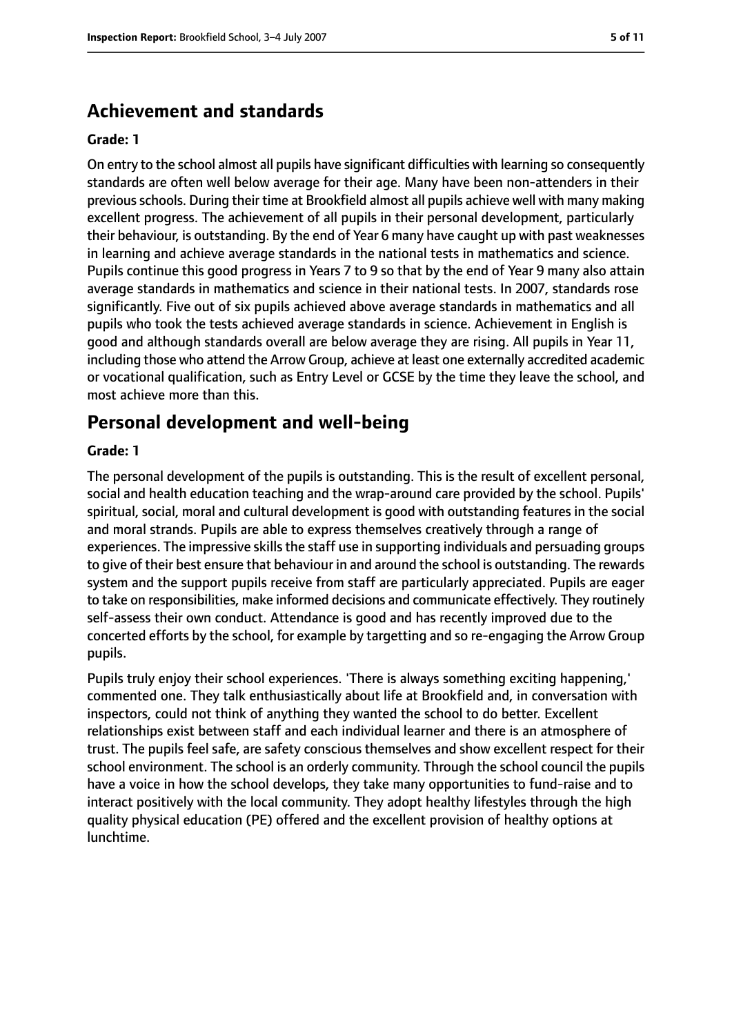# **Achievement and standards**

#### **Grade: 1**

On entry to the school almost all pupils have significant difficulties with learning so consequently standards are often well below average for their age. Many have been non-attenders in their previousschools. During their time at Brookfield almost all pupils achieve well with many making excellent progress. The achievement of all pupils in their personal development, particularly their behaviour, is outstanding. By the end of Year 6 many have caught up with past weaknesses in learning and achieve average standards in the national tests in mathematics and science. Pupils continue this good progress in Years 7 to 9 so that by the end of Year 9 many also attain average standards in mathematics and science in their national tests. In 2007, standards rose significantly. Five out of six pupils achieved above average standards in mathematics and all pupils who took the tests achieved average standards in science. Achievement in English is good and although standards overall are below average they are rising. All pupils in Year 11, including those who attend the Arrow Group, achieve at least one externally accredited academic or vocational qualification, such as Entry Level or GCSE by the time they leave the school, and most achieve more than this.

# **Personal development and well-being**

#### **Grade: 1**

The personal development of the pupils is outstanding. This is the result of excellent personal, social and health education teaching and the wrap-around care provided by the school. Pupils' spiritual, social, moral and cultural development is good with outstanding features in the social and moral strands. Pupils are able to express themselves creatively through a range of experiences. The impressive skills the staff use in supporting individuals and persuading groups to give of their best ensure that behaviour in and around the school is outstanding. The rewards system and the support pupils receive from staff are particularly appreciated. Pupils are eager to take on responsibilities, make informed decisions and communicate effectively. They routinely self-assess their own conduct. Attendance is good and has recently improved due to the concerted efforts by the school, for example by targetting and so re-engaging the Arrow Group pupils.

Pupils truly enjoy their school experiences. 'There is always something exciting happening,' commented one. They talk enthusiastically about life at Brookfield and, in conversation with inspectors, could not think of anything they wanted the school to do better. Excellent relationships exist between staff and each individual learner and there is an atmosphere of trust. The pupils feel safe, are safety conscious themselves and show excellent respect for their school environment. The school is an orderly community. Through the school council the pupils have a voice in how the school develops, they take many opportunities to fund-raise and to interact positively with the local community. They adopt healthy lifestyles through the high quality physical education (PE) offered and the excellent provision of healthy options at lunchtime.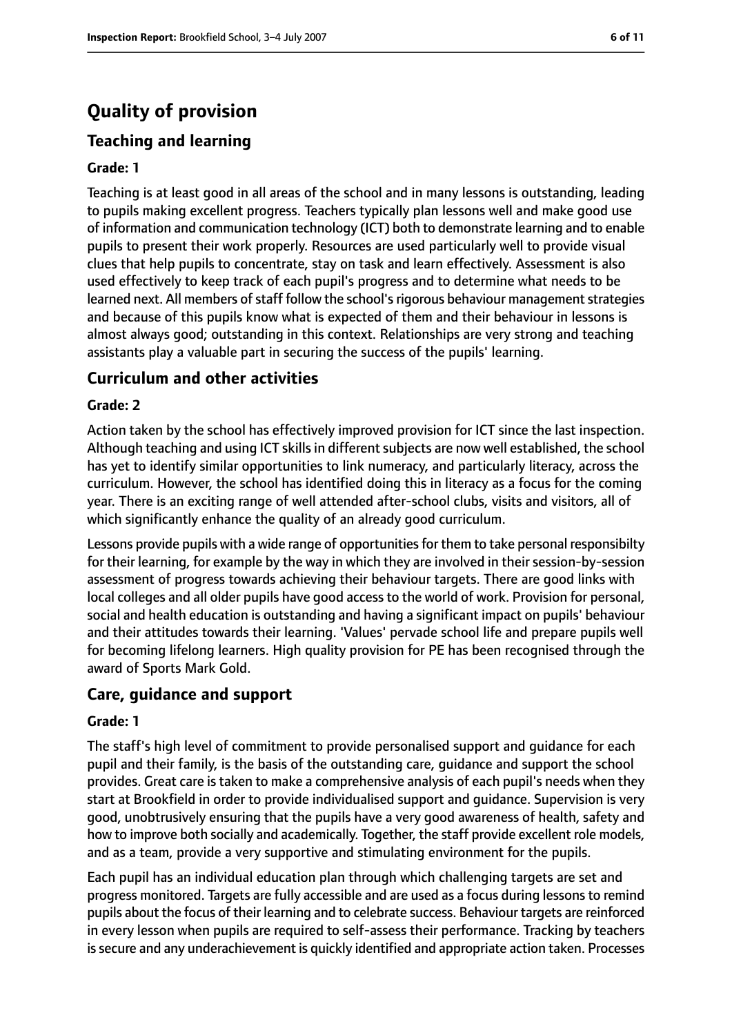# **Quality of provision**

# **Teaching and learning**

## **Grade: 1**

Teaching is at least good in all areas of the school and in many lessons is outstanding, leading to pupils making excellent progress. Teachers typically plan lessons well and make good use of information and communication technology (ICT) both to demonstrate learning and to enable pupils to present their work properly. Resources are used particularly well to provide visual clues that help pupils to concentrate, stay on task and learn effectively. Assessment is also used effectively to keep track of each pupil's progress and to determine what needs to be learned next. All members of staff follow the school's rigorous behaviour management strategies and because of this pupils know what is expected of them and their behaviour in lessons is almost always good; outstanding in this context. Relationships are very strong and teaching assistants play a valuable part in securing the success of the pupils' learning.

## **Curriculum and other activities**

#### **Grade: 2**

Action taken by the school has effectively improved provision for ICT since the last inspection. Although teaching and using ICT skills in different subjects are now well established, the school has yet to identify similar opportunities to link numeracy, and particularly literacy, across the curriculum. However, the school has identified doing this in literacy as a focus for the coming year. There is an exciting range of well attended after-school clubs, visits and visitors, all of which significantly enhance the quality of an already good curriculum.

Lessons provide pupils with a wide range of opportunities for them to take personal responsibilty for their learning, for example by the way in which they are involved in their session-by-session assessment of progress towards achieving their behaviour targets. There are good links with local colleges and all older pupils have good access to the world of work. Provision for personal, social and health education is outstanding and having a significant impact on pupils' behaviour and their attitudes towards their learning. 'Values' pervade school life and prepare pupils well for becoming lifelong learners. High quality provision for PE has been recognised through the award of Sports Mark Gold.

## **Care, guidance and support**

#### **Grade: 1**

The staff's high level of commitment to provide personalised support and guidance for each pupil and their family, is the basis of the outstanding care, guidance and support the school provides. Great care is taken to make a comprehensive analysis of each pupil's needs when they start at Brookfield in order to provide individualised support and guidance. Supervision is very good, unobtrusively ensuring that the pupils have a very good awareness of health, safety and how to improve both socially and academically. Together, the staff provide excellent role models, and as a team, provide a very supportive and stimulating environment for the pupils.

Each pupil has an individual education plan through which challenging targets are set and progress monitored. Targets are fully accessible and are used as a focus during lessons to remind pupils about the focus of their learning and to celebrate success. Behaviour targets are reinforced in every lesson when pupils are required to self-assess their performance. Tracking by teachers is secure and any underachievement is quickly identified and appropriate action taken. Processes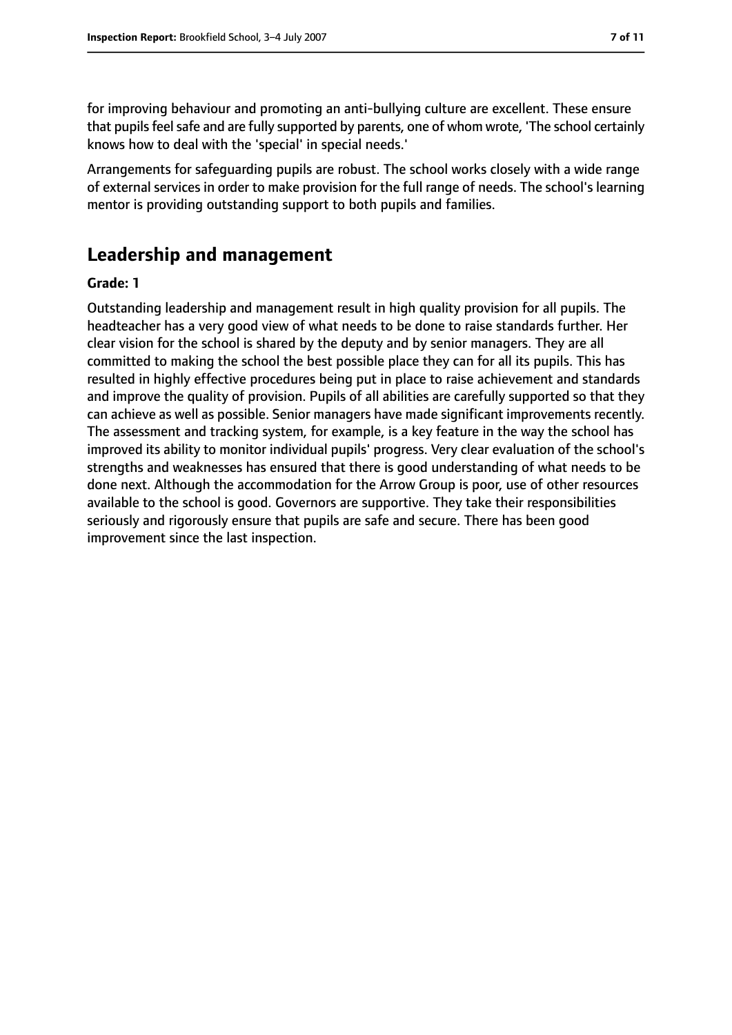for improving behaviour and promoting an anti-bullying culture are excellent. These ensure that pupils feel safe and are fully supported by parents, one of whom wrote, 'The school certainly knows how to deal with the 'special' in special needs.'

Arrangements for safeguarding pupils are robust. The school works closely with a wide range of external services in order to make provision for the full range of needs. The school's learning mentor is providing outstanding support to both pupils and families.

# **Leadership and management**

#### **Grade: 1**

Outstanding leadership and management result in high quality provision for all pupils. The headteacher has a very good view of what needs to be done to raise standards further. Her clear vision for the school is shared by the deputy and by senior managers. They are all committed to making the school the best possible place they can for all its pupils. This has resulted in highly effective procedures being put in place to raise achievement and standards and improve the quality of provision. Pupils of all abilities are carefully supported so that they can achieve as well as possible. Senior managers have made significant improvements recently. The assessment and tracking system, for example, is a key feature in the way the school has improved its ability to monitor individual pupils' progress. Very clear evaluation of the school's strengths and weaknesses has ensured that there is good understanding of what needs to be done next. Although the accommodation for the Arrow Group is poor, use of other resources available to the school is good. Governors are supportive. They take their responsibilities seriously and rigorously ensure that pupils are safe and secure. There has been good improvement since the last inspection.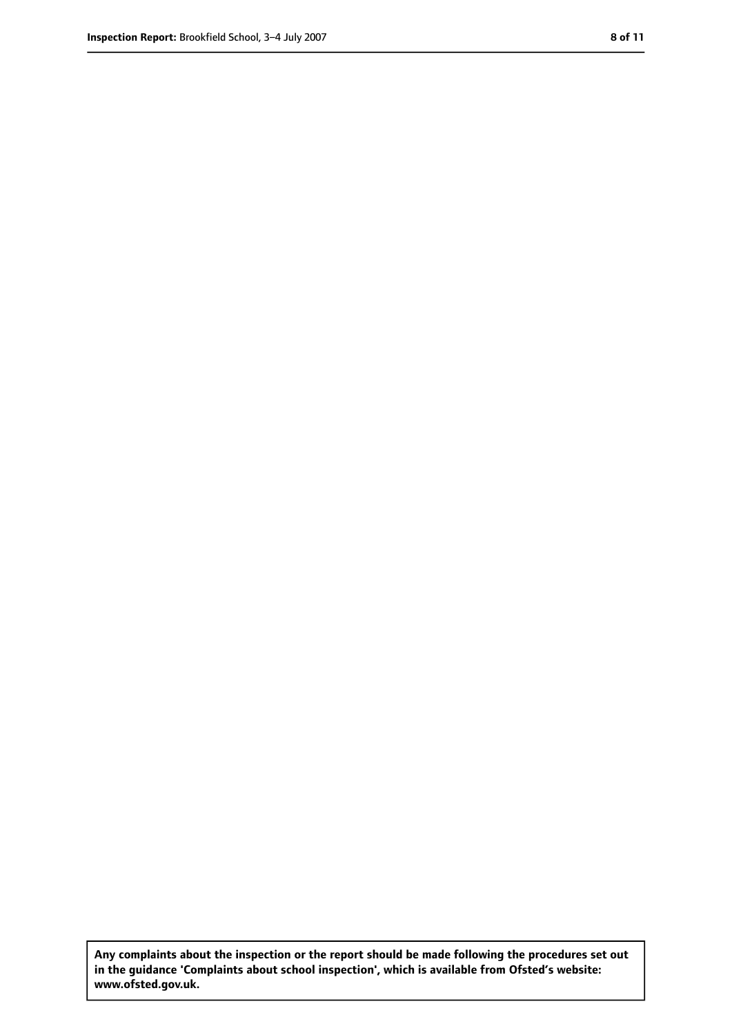**Any complaints about the inspection or the report should be made following the procedures set out in the guidance 'Complaints about school inspection', which is available from Ofsted's website: www.ofsted.gov.uk.**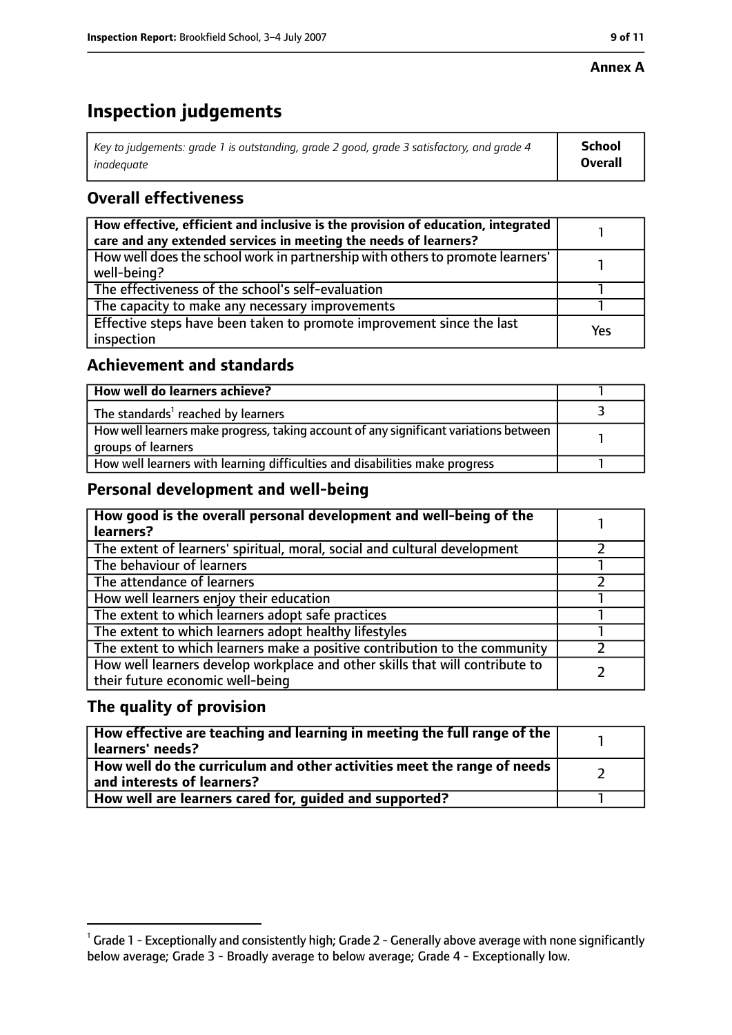# **Inspection judgements**

| Key to judgements: grade 1 is outstanding, grade 2 good, grade 3 satisfactory, and grade 4 | School         |
|--------------------------------------------------------------------------------------------|----------------|
| inadeguate                                                                                 | <b>Overall</b> |

# **Overall effectiveness**

| How effective, efficient and inclusive is the provision of education, integrated<br>care and any extended services in meeting the needs of learners? |     |
|------------------------------------------------------------------------------------------------------------------------------------------------------|-----|
| How well does the school work in partnership with others to promote learners'<br>well-being?                                                         |     |
| The effectiveness of the school's self-evaluation                                                                                                    |     |
| The capacity to make any necessary improvements                                                                                                      |     |
| Effective steps have been taken to promote improvement since the last<br>inspection                                                                  | Yes |

## **Achievement and standards**

| How well do learners achieve?                                                                               |  |
|-------------------------------------------------------------------------------------------------------------|--|
| The standards <sup>1</sup> reached by learners                                                              |  |
| How well learners make progress, taking account of any significant variations between<br>groups of learners |  |
| How well learners with learning difficulties and disabilities make progress                                 |  |

## **Personal development and well-being**

| How good is the overall personal development and well-being of the<br>learners?                                  |  |
|------------------------------------------------------------------------------------------------------------------|--|
| The extent of learners' spiritual, moral, social and cultural development                                        |  |
| The behaviour of learners                                                                                        |  |
| The attendance of learners                                                                                       |  |
| How well learners enjoy their education                                                                          |  |
| The extent to which learners adopt safe practices                                                                |  |
| The extent to which learners adopt healthy lifestyles                                                            |  |
| The extent to which learners make a positive contribution to the community                                       |  |
| How well learners develop workplace and other skills that will contribute to<br>their future economic well-being |  |

## **The quality of provision**

| How effective are teaching and learning in meeting the full range of the<br>learners' needs?          |  |
|-------------------------------------------------------------------------------------------------------|--|
| How well do the curriculum and other activities meet the range of needs<br>and interests of learners? |  |
| How well are learners cared for, quided and supported?                                                |  |

 $^1$  Grade 1 - Exceptionally and consistently high; Grade 2 - Generally above average with none significantly below average; Grade 3 - Broadly average to below average; Grade 4 - Exceptionally low.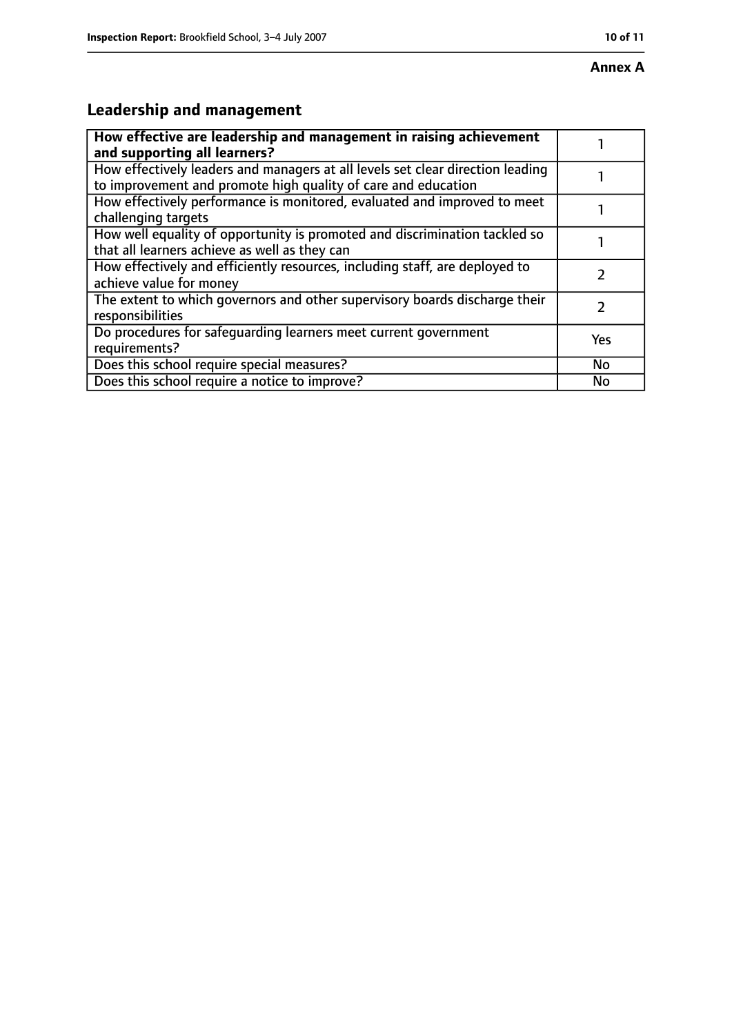# **Leadership and management**

| How effective are leadership and management in raising achievement<br>and supporting all learners?                                              |           |
|-------------------------------------------------------------------------------------------------------------------------------------------------|-----------|
| How effectively leaders and managers at all levels set clear direction leading<br>to improvement and promote high quality of care and education |           |
| How effectively performance is monitored, evaluated and improved to meet<br>challenging targets                                                 |           |
| How well equality of opportunity is promoted and discrimination tackled so<br>that all learners achieve as well as they can                     |           |
| How effectively and efficiently resources, including staff, are deployed to<br>achieve value for money                                          |           |
| The extent to which governors and other supervisory boards discharge their<br>responsibilities                                                  |           |
| Do procedures for safequarding learners meet current government<br>requirements?                                                                | Yes       |
| Does this school require special measures?                                                                                                      | <b>No</b> |
| Does this school require a notice to improve?                                                                                                   | No        |